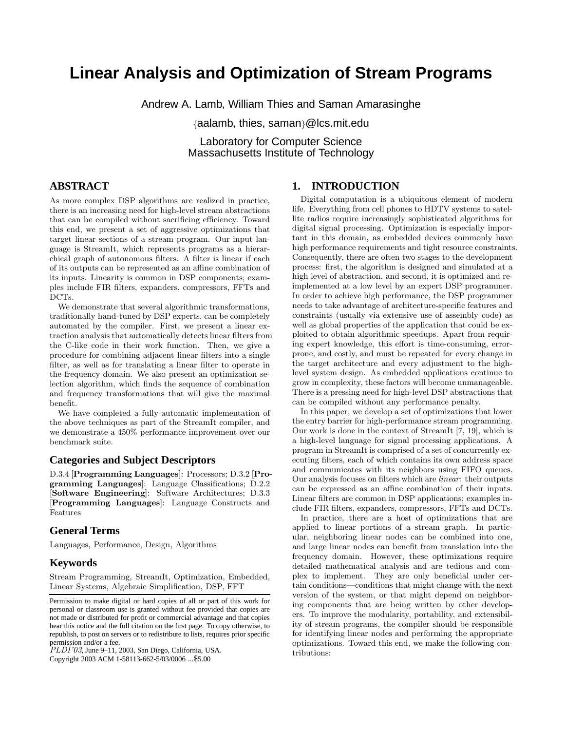# **Linear Analysis and Optimization of Stream Programs**

Andrew A. Lamb, William Thies and Saman Amarasinghe

{aalamb, thies, saman}@lcs.mit.edu

Laboratory for Computer Science Massachusetts Institute of Technology

# **ABSTRACT**

As more complex DSP algorithms are realized in practice, there is an increasing need for high-level stream abstractions that can be compiled without sacrificing efficiency. Toward this end, we present a set of aggressive optimizations that target linear sections of a stream program. Our input language is StreamIt, which represents programs as a hierarchical graph of autonomous filters. A filter is linear if each of its outputs can be represented as an affine combination of its inputs. Linearity is common in DSP components; examples include FIR filters, expanders, compressors, FFTs and DCTs.

We demonstrate that several algorithmic transformations, traditionally hand-tuned by DSP experts, can be completely automated by the compiler. First, we present a linear extraction analysis that automatically detects linear filters from the C-like code in their work function. Then, we give a procedure for combining adjacent linear filters into a single filter, as well as for translating a linear filter to operate in the frequency domain. We also present an optimization selection algorithm, which finds the sequence of combination and frequency transformations that will give the maximal benefit.

We have completed a fully-automatic implementation of the above techniques as part of the StreamIt compiler, and we demonstrate a 450% performance improvement over our benchmark suite.

#### **Categories and Subject Descriptors**

D.3.4 [Programming Languages]: Processors; D.3.2 [Programming Languages]: Language Classifications; D.2.2 [Software Engineering]: Software Architectures; D.3.3 [Programming Languages]: Language Constructs and Features

# **General Terms**

Languages, Performance, Design, Algorithms

# **Keywords**

Stream Programming, StreamIt, Optimization, Embedded, Linear Systems, Algebraic Simplification, DSP, FFT

 $\overline{PLDI'03}$ , June 9–11, 2003, San Diego, California, USA.

Copyright 2003 ACM 1-58113-662-5/03/0006 ...\$5.00

# **1. INTRODUCTION**

Digital computation is a ubiquitous element of modern life. Everything from cell phones to HDTV systems to satellite radios require increasingly sophisticated algorithms for digital signal processing. Optimization is especially important in this domain, as embedded devices commonly have high performance requirements and tight resource constraints. Consequently, there are often two stages to the development process: first, the algorithm is designed and simulated at a high level of abstraction, and second, it is optimized and reimplemented at a low level by an expert DSP programmer. In order to achieve high performance, the DSP programmer needs to take advantage of architecture-specific features and constraints (usually via extensive use of assembly code) as well as global properties of the application that could be exploited to obtain algorithmic speedups. Apart from requiring expert knowledge, this effort is time-consuming, errorprone, and costly, and must be repeated for every change in the target architecture and every adjustment to the highlevel system design. As embedded applications continue to grow in complexity, these factors will become unmanageable. There is a pressing need for high-level DSP abstractions that can be compiled without any performance penalty.

In this paper, we develop a set of optimizations that lower the entry barrier for high-performance stream programming. Our work is done in the context of StreamIt [7, 19], which is a high-level language for signal processing applications. A program in StreamIt is comprised of a set of concurrently executing filters, each of which contains its own address space and communicates with its neighbors using FIFO queues. Our analysis focuses on filters which are linear: their outputs can be expressed as an affine combination of their inputs. Linear filters are common in DSP applications; examples include FIR filters, expanders, compressors, FFTs and DCTs.

In practice, there are a host of optimizations that are applied to linear portions of a stream graph. In particular, neighboring linear nodes can be combined into one, and large linear nodes can benefit from translation into the frequency domain. However, these optimizations require detailed mathematical analysis and are tedious and complex to implement. They are only beneficial under certain conditions—conditions that might change with the next version of the system, or that might depend on neighboring components that are being written by other developers. To improve the modularity, portability, and extensibility of stream programs, the compiler should be responsible for identifying linear nodes and performing the appropriate optimizations. Toward this end, we make the following contributions:

Permission to make digital or hard copies of all or part of this work for personal or classroom use is granted without fee provided that copies are not made or distributed for profit or commercial advantage and that copies bear this notice and the full citation on the first page. To copy otherwise, to republish, to post on servers or to redistribute to lists, requires prior specific permission and/or a fee.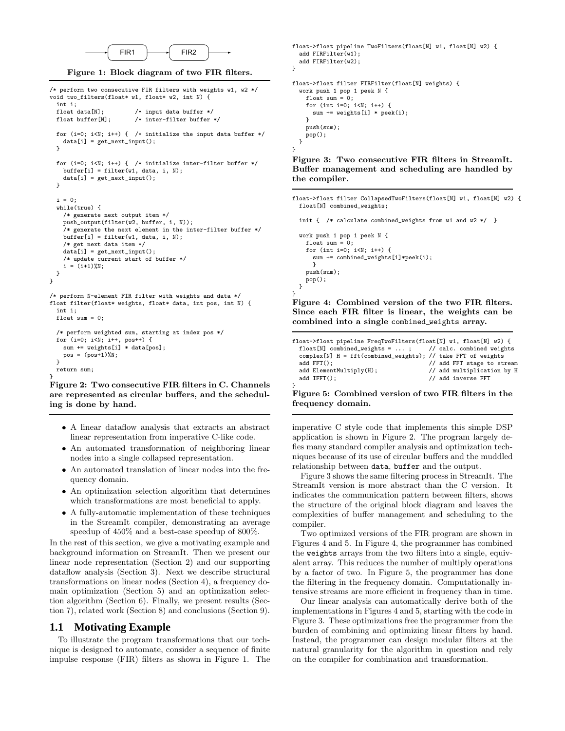

Figure 1: Block diagram of two FIR filters.

```
/* perform two consecutive FIR filters with weights w1, w2 */
void two_filters(float* w1, float* w2, int N) {
  int i;<br>float data[N];
 float data[N]; \quad /* input data buffer */<br>float buffer [N]; \quad /* inter-filter buffer *
                          /* inter-filter buffer */for (i=0; i<N; i++) { /* initialize the input data buffer */data[i] = get_next_input();
  }
  for (i=0; i<N; i++) { /* initialize inter-filter buffer */
    buffer[i] = filter(w1, data, i, N);data[i] = get_next_input();
 }
  i = 0;while(true) {
    /* generate next output item */
    push_output(filter(w2, buffer, i, N));
    /* generate the next element in the inter-filter buffer */
    buffer[i] = filter(w1, data, i, N);/* get next data item */
    data[i] = get\_next\_input();
    /* update current start of buffer */
    i = (i+1)\%N;}
}
/* perform N-element FIR filter with weights and data */
float filter(float* weights, float* data, int pos, int N) {
  int i;
 float sum = 0:
  /* perform weighted sum, starting at index pos */
 for (i=0; i<N; i++, pos++) {
    sum += weights[i] * data[pos];
```
} Figure 2: Two consecutive FIR filters in C. Channels are represented as circular buffers, and the scheduling is done by hand.

- A linear dataflow analysis that extracts an abstract linear representation from imperative C-like code.
- An automated transformation of neighboring linear nodes into a single collapsed representation.
- An automated translation of linear nodes into the frequency domain.
- An optimization selection algorithm that determines which transformations are most beneficial to apply.
- A fully-automatic implementation of these techniques in the StreamIt compiler, demonstrating an average speedup of 450% and a best-case speedup of 800%.

In the rest of this section, we give a motivating example and background information on StreamIt. Then we present our linear node representation (Section 2) and our supporting dataflow analysis (Section 3). Next we describe structural transformations on linear nodes (Section 4), a frequency domain optimization (Section 5) and an optimization selection algorithm (Section 6). Finally, we present results (Section 7), related work (Section 8) and conclusions (Section 9).

#### **1.1 Motivating Example**

 $pos = (pos+1)\%N;$ 

} return sum;

To illustrate the program transformations that our technique is designed to automate, consider a sequence of finite impulse response (FIR) filters as shown in Figure 1. The

```
float->float pipeline TwoFilters(float[N] w1, float[N] w2) {
  add FIRFilter(w1);
 add FIRFilter(w2);
}
float->float filter FIRFilter(float[N] weights) {
  work push 1 pop 1 peek N {
   float sum = 0;
   for (int i=0; i<N; i++) {
     sum += weights[i] * peek(i);
   }
   push(sum);
   pop();
 }
}
```
Figure 3: Two consecutive FIR filters in StreamIt. Buffer management and scheduling are handled by the compiler.

float->float filter CollapsedTwoFilters(float[N] w1, float[N] w2) { float[N] combined\_weights;

init { /\* calculate combined\_weights from w1 and w2 \*/ } work push 1 pop 1 peek N { float sum = 0; for (int i=0; i<N; i++) { sum += combined\_weights[i]\*peek(i);

```
}
  push(sum);
  pop();
}
```
}

Figure 4: Combined version of the two FIR filters. Since each FIR filter is linear, the weights can be combined into a single combined weights array.

| float->float pipeline FreqTwoFilters(float[N] w1, float[N] w2) {                                                             |                            |
|------------------------------------------------------------------------------------------------------------------------------|----------------------------|
| float [N] combined_weights = $\dots$ ; // calc. combined weights                                                             |                            |
| complex[N] $H = fft$ (combined_weights); // take FFT of weights                                                              |                            |
| $add$ $FFT()$ ;                                                                                                              | // add FFT stage to stream |
| $add$ ElementMultiply $(H)$ ;                                                                                                | // add multiplication by H |
| $add IFFT()$ ;                                                                                                               | // add inverse FFT         |
|                                                                                                                              |                            |
| $F_{\text{current}}^{\text{t}}$ , $C_{\text{c}}^{\text{t}}$ and $C_{\text{t}}^{\text{t}}$ is a set of two FID fitting in the |                            |

Figure 5: Combined version of two FIR filters in the frequency domain.

imperative C style code that implements this simple DSP application is shown in Figure 2. The program largely defies many standard compiler analysis and optimization techniques because of its use of circular buffers and the muddled relationship between data, buffer and the output.

Figure 3 shows the same filtering process in StreamIt. The StreamIt version is more abstract than the C version. It indicates the communication pattern between filters, shows the structure of the original block diagram and leaves the complexities of buffer management and scheduling to the compiler.

Two optimized versions of the FIR program are shown in Figures 4 and 5. In Figure 4, the programmer has combined the weights arrays from the two filters into a single, equivalent array. This reduces the number of multiply operations by a factor of two. In Figure 5, the programmer has done the filtering in the frequency domain. Computationally intensive streams are more efficient in frequency than in time.

Our linear analysis can automatically derive both of the implementations in Figures 4 and 5, starting with the code in Figure 3. These optimizations free the programmer from the burden of combining and optimizing linear filters by hand. Instead, the programmer can design modular filters at the natural granularity for the algorithm in question and rely on the compiler for combination and transformation.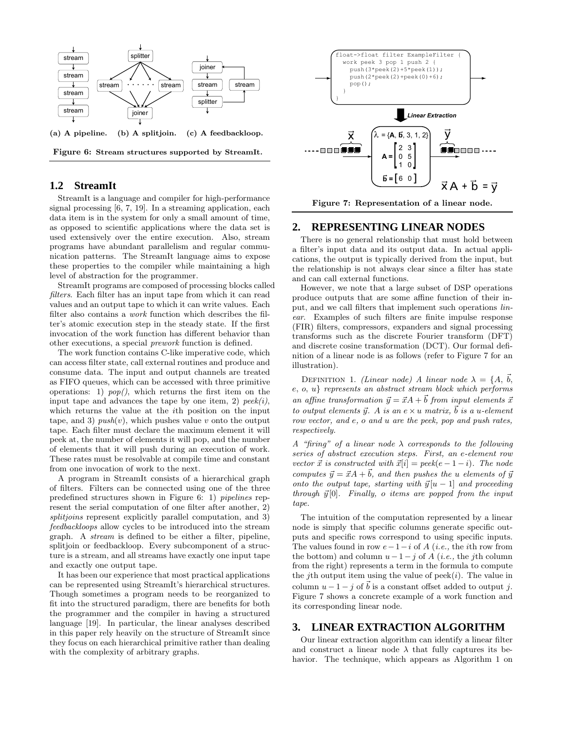

(a) A pipeline. (b) A splitjoin. (c) A feedbackloop.

Figure 6: Stream structures supported by StreamIt.

# **1.2 StreamIt**

StreamIt is a language and compiler for high-performance signal processing [6, 7, 19]. In a streaming application, each data item is in the system for only a small amount of time, as opposed to scientific applications where the data set is used extensively over the entire execution. Also, stream programs have abundant parallelism and regular communication patterns. The StreamIt language aims to expose these properties to the compiler while maintaining a high level of abstraction for the programmer.

StreamIt programs are composed of processing blocks called filters. Each filter has an input tape from which it can read values and an output tape to which it can write values. Each filter also contains a work function which describes the filter's atomic execution step in the steady state. If the first invocation of the work function has different behavior than other executions, a special prework function is defined.

The work function contains C-like imperative code, which can access filter state, call external routines and produce and consume data. The input and output channels are treated as FIFO queues, which can be accessed with three primitive operations: 1)  $pop(),$  which returns the first item on the input tape and advances the tape by one item, 2)  $peek(i)$ , which returns the value at the *i*th position on the input tape, and 3)  $push(v)$ , which pushes value v onto the output tape. Each filter must declare the maximum element it will peek at, the number of elements it will pop, and the number of elements that it will push during an execution of work. These rates must be resolvable at compile time and constant from one invocation of work to the next.

A program in StreamIt consists of a hierarchical graph of filters. Filters can be connected using one of the three predefined structures shown in Figure 6: 1) pipelines represent the serial computation of one filter after another, 2) splitjoins represent explicitly parallel computation, and 3) feedbackloops allow cycles to be introduced into the stream graph. A stream is defined to be either a filter, pipeline, splitjoin or feedbackloop. Every subcomponent of a structure is a stream, and all streams have exactly one input tape and exactly one output tape.

It has been our experience that most practical applications can be represented using StreamIt's hierarchical structures. Though sometimes a program needs to be reorganized to fit into the structured paradigm, there are benefits for both the programmer and the compiler in having a structured language [19]. In particular, the linear analyses described in this paper rely heavily on the structure of StreamIt since they focus on each hierarchical primitive rather than dealing with the complexity of arbitrary graphs.



Figure 7: Representation of a linear node.

# **2. REPRESENTING LINEAR NODES**

There is no general relationship that must hold between a filter's input data and its output data. In actual applications, the output is typically derived from the input, but the relationship is not always clear since a filter has state and can call external functions.

However, we note that a large subset of DSP operations produce outputs that are some affine function of their input, and we call filters that implement such operations linear. Examples of such filters are finite impulse response (FIR) filters, compressors, expanders and signal processing transforms such as the discrete Fourier transform (DFT) and discrete cosine transformation (DCT). Our formal definition of a linear node is as follows (refer to Figure 7 for an illustration).

DEFINITION 1. (Linear node) A linear node  $\lambda = \{A, \vec{b},\}$ e, o, u} represents an abstract stream block which performs an affine transformation  $\vec{y} = \vec{x}A + \vec{b}$  from input elements  $\vec{x}$ to output elements  $\vec{y}$ . A is an  $e \times u$  matrix,  $\vec{b}$  is a u-element row vector, and e, o and u are the peek, pop and push rates, respectively.

A "firing" of a linear node  $\lambda$  corresponds to the following series of abstract execution steps. First, an e-element row vector  $\vec{x}$  is constructed with  $\vec{x}[i] = peek(e-1-i)$ . The node computes  $\vec{y} = \vec{x}A + \vec{b}$ , and then pushes the u elements of  $\vec{y}$ onto the output tape, starting with  $\vec{y}[u - 1]$  and proceeding through  $\vec{y}[0]$ . Finally, o items are popped from the input tape.

The intuition of the computation represented by a linear node is simply that specific columns generate specific outputs and specific rows correspond to using specific inputs. The values found in row  $e-1-i$  of A (*i.e.*, the *i*th row from the bottom) and column  $u-1-j$  of A (*i.e.*, the *j*th column from the right) represents a term in the formula to compute the jth output item using the value of  $peek(i)$ . The value in column  $u - 1 - j$  of  $\vec{b}$  is a constant offset added to output j. Figure 7 shows a concrete example of a work function and its corresponding linear node.

### **3. LINEAR EXTRACTION ALGORITHM**

Our linear extraction algorithm can identify a linear filter and construct a linear node  $\lambda$  that fully captures its behavior. The technique, which appears as Algorithm 1 on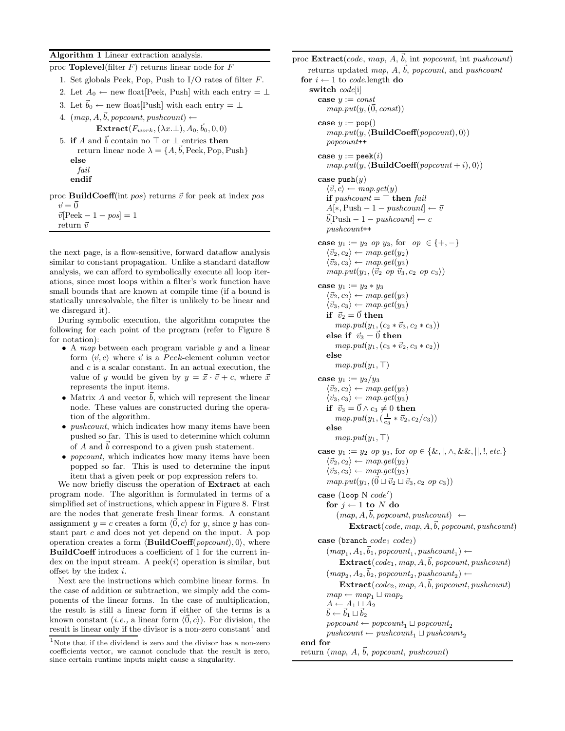Algorithm 1 Linear extraction analysis.

| proc <b>Toplevel</b> (filter $F$ ) returns linear node for $F$                                                                                                                        |
|---------------------------------------------------------------------------------------------------------------------------------------------------------------------------------------|
| 1. Set globals Peek, Pop, Push to I/O rates of filter $F$ .                                                                                                                           |
| 2. Let $A_0 \leftarrow$ new float [Peek, Push] with each entry $= \perp$                                                                                                              |
| 3. Let $\vec{b}_0 \leftarrow$ new float [Push] with each entry $= \perp$                                                                                                              |
| 4. $(map, A, \vec{b}, popcount, pushcount) \leftarrow$                                                                                                                                |
| Extract( $F_{work}$ , ( $\lambda x.\bot$ ), $A_0$ , $\vec{b}_0$ , 0, 0)                                                                                                               |
| 5. if A and $\vec{b}$ contain no $\top$ or $\bot$ entries then<br>return linear node $\lambda = \{A, \vec{b}, \text{Peek}, \text{Pop}, \text{Push}\}\$                                |
| else                                                                                                                                                                                  |
| fail                                                                                                                                                                                  |
| endif                                                                                                                                                                                 |
| $\mathbf{p}_{\text{max}}$ $\mathbf{D}_{\text{min}}$ $\mathbf{H}(\mathbf{p}_{\text{max}})$ $\mathbf{p}_{\text{min}}$ $\mathbf{p}_{\text{max}}$ $\mathbf{p}_{\text{max}}$ at index need |

proc **BuildCoeff**(int pos) returns  $\vec{v}$  for peek at index pos  $\vec{v} = \vec{0}$ 

 $\vec{v}$ [Peek – 1 – pos] = 1 return $\vec{v}$ 

the next page, is a flow-sensitive, forward dataflow analysis similar to constant propagation. Unlike a standard dataflow analysis, we can afford to symbolically execute all loop iterations, since most loops within a filter's work function have small bounds that are known at compile time (if a bound is statically unresolvable, the filter is unlikely to be linear and we disregard it).

During symbolic execution, the algorithm computes the following for each point of the program (refer to Figure 8 for notation):

- A map between each program variable  $y$  and a linear form  $\langle \vec{v}, c \rangle$  where  $\vec{v}$  is a Peek-element column vector and c is a scalar constant. In an actual execution, the value of y would be given by  $y = \vec{x} \cdot \vec{v} + c$ , where  $\vec{x}$ represents the input items.
- Matrix A and vector  $\vec{b}$ , which will represent the linear node. These values are constructed during the operation of the algorithm.
- $\bullet$  pushcount, which indicates how many items have been pushed so far. This is used to determine which column of A and  $\vec{b}$  correspond to a given push statement.
- *popcount*, which indicates how many items have been popped so far. This is used to determine the input item that a given peek or pop expression refers to.

We now briefly discuss the operation of **Extract** at each program node. The algorithm is formulated in terms of a simplified set of instructions, which appear in Figure 8. First are the nodes that generate fresh linear forms. A constant assignment  $y = c$  creates a form  $\langle 0, c \rangle$  for y, since y has constant part c and does not yet depend on the input. A pop operation creates a form  $\langle \mathbf{BuildCoeff}(popcount), 0 \rangle$ , where BuildCoeff introduces a coefficient of 1 for the current index on the input stream. A peek $(i)$  operation is similar, but offset by the index i.

Next are the instructions which combine linear forms. In the case of addition or subtraction, we simply add the components of the linear forms. In the case of multiplication, the result is still a linear form if either of the terms is a known constant (*i.e.*, a linear form  $\langle \vec{0}, c \rangle$ ). For division, the result is linear only if the divisor is a non-zero constant<sup>1</sup> and

```
proc \text{Extract}(code, map, A, \vec{b}), int popcount, int pushcount)
      returns updated map, A, \vec{b}, popcount, and pushcount
   for i \leftarrow 1 to code.length do
      switch code[i]
          case y := constmap.put(y, (\overline{0}, const))case y := \text{pop}()map.put(y, \langle \mathbf{BuildCoeff}(\mathit{popcount}), 0 \rangle)popcount++
          case y := \text{peak}(i)map.put(y, \langle \mathbf{BuildCoeff}(popcount + i), 0 \rangle)case push(y)\langle \vec{v}, c \rangle \leftarrow map.get(y)if \textit{pushcount} = \top \text{ then } \textit{fail}A[\dot{*}, \text{Push} - 1 - \text{pushcount}] \leftarrow \vec{v}\vec{b}[Push – 1 – pushcount] \leftarrow cpushcount++
          case y_1 := y_2 op y_3, for op \in \{+, -\}\langle \vec{v}_2, c_2 \rangle \leftarrow map.get(y_2)\langle \vec{v}_3, c_3 \rangle \leftarrow map.get(y_3)map.put(y_1, \langle \vec{v}_2 \text{ op } \vec{v}_3, c_2 \text{ op } c_3 \rangle)case y_1 := y_2 * y_3\langle \vec{v}_2, c_2 \rangle \leftarrow map.get(y_2)\langle \vec{v}_3, c_3 \rangle \leftarrow map.get(y_3)if \vec{v}_2 = \vec{0} then
                  map.put(y_1, (c_2 * \vec{v}_3, c_2 * c_3))else if \vec{v}_3 = \vec{0} then
                  map.put(y_1, (c_3 * \vec{v}_2, c_3 * c_2))else
                  map.put(y_1, \top)case y_1 := y_2/y_3\langle \vec{v}_2, c_2 \rangle \leftarrow map.get(y_2)\langle \vec{v}_3, c_3 \rangle \leftarrow map.get(y_3)if \vec{v}_3 = \vec{0} \wedge c_3 \neq 0 then
                  map.put(y_1, (\frac{1}{c_3} * \vec{v}_2, c_2/c_3))else
                  map.put(y_1, \top)case y_1 := y_2 op y_3, for op \in {\&, |, \wedge, \&\&, |, \cdot|, etc.}\langle \vec{v}_2, c_2 \rangle \leftarrow map.get(y_2)\langle \vec{v}_3, c_3 \rangle \leftarrow map.get(y_3)map. put(y_1, (\vec{0} \sqcup \vec{v}_2 \sqcup \vec{v}_3, c_2 ~op c_3))case (loop N code')for j \leftarrow 1 to N do
                  (map, A, \vec{b}, popcount, pushcount) \leftarrow\text{Extract}(code, map, A, \vec{b}, popcount, pushcount)case (branch code_1 code_2))
              (map_1, A_1, \vec{b}_1, \text{popcount}_1, \text{pushcount}_1) \leftarrow\text{Extract}(code_1, map, A, \vec{b}, proportion, pushcount)(map_2, A_2, \vec{b}_2, \text{popcount}_2, \text{pushcount}_2) \leftarrow\text{Extract}(\text{code}_2, \text{map}, A, \vec{b}, \text{popcount}, \text{pushcount})map \leftarrow map_1 \sqcup map_2A \leftarrow A_1 \sqcup A_2\vec{b} \leftarrow \vec{b}_1 \sqcup \vec{b}_2\text{pro} popcount \leftarrow popcount<sub>2</sub>
              pushcount \leftarrow pushcount_1 \sqcup pushcount_2end for
   return (map, A, \vec{b}, popcount, pushcount)
```
 $^{\rm 1}{\rm Note}$  that if the dividend is zero and the divisor has a non-zero coefficients vector, we cannot conclude that the result is zero, since certain runtime inputs might cause a singularity.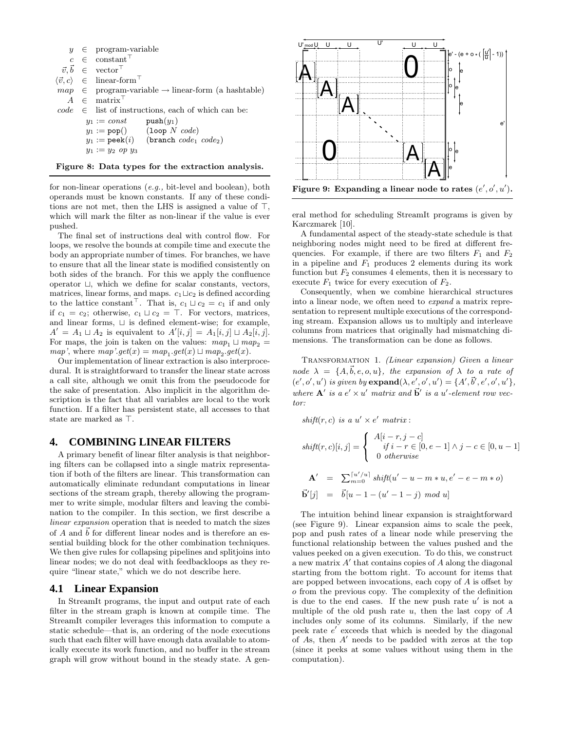|  | $y \in$ program-variable                                                       |
|--|--------------------------------------------------------------------------------|
|  | $c \in \text{constant}^{\top}$                                                 |
|  |                                                                                |
|  | $\vec{v}, \vec{b} \in \text{vector}^{\top}$                                    |
|  | $\langle \vec{v}, c \rangle \in \text{linear-form}^{\top}$                     |
|  | $map \in \text{program-variable} \rightarrow \text{linear-form (a hashtable)}$ |
|  | $A \in \text{matrix}^{\top}$                                                   |
|  | $code \in$ list of instructions, each of which can be:                         |
|  | $y_1 := const$ push $(y_1)$                                                    |
|  | $y_1 := \text{pop}()$ (loop N code)                                            |
|  | $y_1 := \text{peak}(i)$ (branch $code_1 \ code_2)$ )                           |
|  | $y_1 := y_2$ op $y_3$                                                          |
|  |                                                                                |

Figure 8: Data types for the extraction analysis.

for non-linear operations (e.g., bit-level and boolean), both operands must be known constants. If any of these conditions are not met, then the LHS is assigned a value of  $\top$ , which will mark the filter as non-linear if the value is ever pushed.

The final set of instructions deal with control flow. For loops, we resolve the bounds at compile time and execute the body an appropriate number of times. For branches, we have to ensure that all the linear state is modified consistently on both sides of the branch. For this we apply the confluence operator  $\sqcup$ , which we define for scalar constants, vectors, matrices, linear forms, and maps.  $c_1 \sqcup c_2$  is defined according to the lattice constant<sup> $\top$ </sup>. That is,  $c_1 \sqcup c_2 = c_1$  if and only if  $c_1 = c_2$ ; otherwise,  $c_1 \sqcup c_2 = \top$ . For vectors, matrices, and linear forms,  $\sqcup$  is defined element-wise; for example,  $A' = A_1 \sqcup A_2$  is equivalent to  $A'[i,j] = A_1[i,j] \sqcup A_2[i,j].$ For maps, the join is taken on the values:  $map_1 \sqcup map_2$  =  $map',$  where  $map'.get(x) = map_1.get(x) \sqcup map_2.get(x).$ 

Our implementation of linear extraction is also interprocedural. It is straightforward to transfer the linear state across a call site, although we omit this from the pseudocode for the sake of presentation. Also implicit in the algorithm description is the fact that all variables are local to the work function. If a filter has persistent state, all accesses to that state are marked as  $\top$ .

# **4. COMBINING LINEAR FILTERS**

A primary benefit of linear filter analysis is that neighboring filters can be collapsed into a single matrix representation if both of the filters are linear. This transformation can automatically eliminate redundant computations in linear sections of the stream graph, thereby allowing the programmer to write simple, modular filters and leaving the combination to the compiler. In this section, we first describe a linear expansion operation that is needed to match the sizes of A and  $\vec{b}$  for different linear nodes and is therefore an essential building block for the other combination techniques. We then give rules for collapsing pipelines and splitjoins into linear nodes; we do not deal with feedbackloops as they require "linear state," which we do not describe here.

#### **4.1 Linear Expansion**

In StreamIt programs, the input and output rate of each filter in the stream graph is known at compile time. The StreamIt compiler leverages this information to compute a static schedule—that is, an ordering of the node executions such that each filter will have enough data available to atomically execute its work function, and no buffer in the stream graph will grow without bound in the steady state. A gen-



Figure 9: Expanding a linear node to rates  $(e', o', u')$ .

eral method for scheduling StreamIt programs is given by Karczmarek [10].

A fundamental aspect of the steady-state schedule is that neighboring nodes might need to be fired at different frequencies. For example, if there are two filters  $F_1$  and  $F_2$ in a pipeline and  $F_1$  produces 2 elements during its work function but  $F_2$  consumes 4 elements, then it is necessary to execute  $F_1$  twice for every execution of  $F_2$ .

Consequently, when we combine hierarchical structures into a linear node, we often need to expand a matrix representation to represent multiple executions of the corresponding stream. Expansion allows us to multiply and interleave columns from matrices that originally had mismatching dimensions. The transformation can be done as follows.

Transformation 1. (Linear expansion) Given a linear node  $\lambda = \{A, \vec{b}, e, o, u\}$ , the expansion of  $\lambda$  to a rate of  $(e', o', u')$  is given by  $\mathbf{expand}(\lambda, e', o', u') = \{A', \vec{b}', e', o', u'\},$ where  $\mathbf{A}'$  is a  $e' \times u'$  matrix and  $\mathbf{b}'$  is a u'-element row vector:

 $shift(r, c)$  is a  $u' \times e'$  matrix:

$$
shift(r, c)[i, j] = \begin{cases} A[i - r, j - c] \\ if i - r \in [0, e - 1] \land j - c \in [0, u - 1] \\ 0 \ otherwise \end{cases}
$$

$$
\mathbf{A'} = \sum_{m=0}^{\lceil u'/u \rceil} shift(u' - u - m * u, e' - e - m * o)
$$

$$
\vec{\mathbf{b}}'[j] = \vec{b}[u-1-(u'-1-j) \mod u]
$$

The intuition behind linear expansion is straightforward (see Figure 9). Linear expansion aims to scale the peek, pop and push rates of a linear node while preserving the functional relationship between the values pushed and the values peeked on a given execution. To do this, we construct a new matrix  $A'$  that contains copies of  $A$  along the diagonal starting from the bottom right. To account for items that are popped between invocations, each copy of A is offset by o from the previous copy. The complexity of the definition is due to the end cases. If the new push rate  $u'$  is not a multiple of the old push rate  $u$ , then the last copy of  $A$ includes only some of its columns. Similarly, if the new peek rate  $e'$  exceeds that which is needed by the diagonal of As, then  $A'$  needs to be padded with zeros at the top (since it peeks at some values without using them in the computation).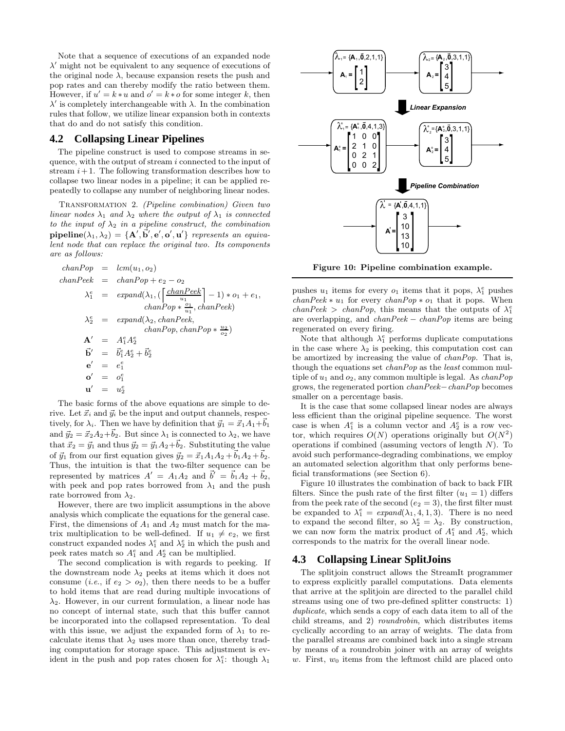Note that a sequence of executions of an expanded node  $\lambda'$  might not be equivalent to any sequence of executions of the original node  $\lambda$ , because expansion resets the push and pop rates and can thereby modify the ratio between them. However, if  $u' = k * u$  and  $o' = k * o$  for some integer k, then  $\lambda'$  is completely interchangeable with  $\lambda$ . In the combination rules that follow, we utilize linear expansion both in contexts that do and do not satisfy this condition.

#### **4.2 Collapsing Linear Pipelines**

The pipeline construct is used to compose streams in sequence, with the output of stream i connected to the input of stream  $i+1$ . The following transformation describes how to collapse two linear nodes in a pipeline; it can be applied repeatedly to collapse any number of neighboring linear nodes.

Transformation 2. (Pipeline combination) Given two linear nodes  $\lambda_1$  and  $\lambda_2$  where the output of  $\lambda_1$  is connected to the input of  $\lambda_2$  in a pipeline construct, the combination  $\mathbf{pipeline}(\lambda_1, \lambda_2) = \{ \mathbf{A}', \vec{\mathbf{b}}', \mathbf{e}', \mathbf{o}', \mathbf{u}' \}$  represents an equivalent node that can replace the original two. Its components are as follows:

$$
chanPop = lcm(u_1, o_2)
$$
  
\n
$$
chanPeek = chanPop + e_2 - o_2
$$
  
\n
$$
\lambda_1^e = expand(\lambda_1, (\frac{chanPeek}{u_1}) - 1) * o_1 + e_1,
$$
  
\n
$$
chanPop * \frac{o_1}{u_1}, chanPeek)
$$
  
\n
$$
\lambda_2^e = expand(\lambda_2, chanPeek, chanPop, chanPop * \frac{u_2}{o_2})
$$
  
\n
$$
A' = A_1^e A_2^e
$$
  
\n
$$
\vec{b}' = \vec{b}_1^e A_2^e + \vec{b}_2^e
$$
  
\n
$$
\vec{e}' = e_1^e
$$
  
\n
$$
\vec{a}' = a_2^e
$$

The basic forms of the above equations are simple to derive. Let  $\vec{x}_i$  and  $\vec{y}_i$  be the input and output channels, respectively, for  $\lambda_i$ . Then we have by definition that  $\vec{y}_1 = \vec{x}_1 A_1 + \vec{b}_1$ and  $\vec{y}_2 = \vec{x}_2 A_2 + \vec{b}_2$ . But since  $\lambda_1$  is connected to  $\lambda_2$ , we have that  $\vec{x}_2 = \vec{y}_1$  and thus  $\vec{y}_2 = \vec{y}_1 A_2 + \vec{b}_2$ . Substituting the value of  $\vec{y}_1$  from our first equation gives  $\vec{y}_2 = \vec{x}_1 A_1 A_2 + \vec{b}_1 A_2 + \vec{b}_2$ . Thus, the intuition is that the two-filter sequence can be represented by matrices  $A' = A_1 A_2$  and  $\vec{b}' = \vec{b}_1 A_2 + \vec{b}_2$ , with peek and pop rates borrowed from  $\lambda_1$  and the push rate borrowed from  $\lambda_2$ .

However, there are two implicit assumptions in the above analysis which complicate the equations for the general case. First, the dimensions of  $A_1$  and  $A_2$  must match for the matrix multiplication to be well-defined. If  $u_1 \neq e_2$ , we first construct expanded nodes  $\lambda_1^e$  and  $\lambda_2^e$  in which the push and peek rates match so  $A_1^e$  and  $A_2^e$  can be multiplied.

The second complication is with regards to peeking. If the downstream node  $\lambda_2$  peeks at items which it does not consume (*i.e.*, if  $e_2 > o_2$ ), then there needs to be a buffer to hold items that are read during multiple invocations of  $\lambda_2$ . However, in our current formulation, a linear node has no concept of internal state, such that this buffer cannot be incorporated into the collapsed representation. To deal with this issue, we adjust the expanded form of  $\lambda_1$  to recalculate items that  $\lambda_2$  uses more than once, thereby trading computation for storage space. This adjustment is evident in the push and pop rates chosen for  $\lambda_1^e$ : though  $\lambda_1$ 



Figure 10: Pipeline combination example.

pushes  $u_1$  items for every  $o_1$  items that it pops,  $\lambda_1^e$  pushes  $chanPeek * u_1$  for every  $chanPop * o_1$  that it pops. When  $\text{chanPeek} > \text{chanPop}$ , this means that the outputs of  $\lambda_1^e$ are overlapping, and chanPeek − chanPop items are being regenerated on every firing.

Note that although  $\lambda_1^e$  performs duplicate computations in the case where  $\lambda_2$  is peeking, this computation cost can be amortized by increasing the value of chanPop. That is, though the equations set chanPop as the least common multiple of  $u_1$  and  $o_2$ , any common multiple is legal. As *chanPop* grows, the regenerated portion chanPeek−chanPop becomes smaller on a percentage basis.

It is the case that some collapsed linear nodes are always less efficient than the original pipeline sequence. The worst case is when  $A_1^e$  is a column vector and  $A_2^e$  is a row vector, which requires  $O(N)$  operations originally but  $O(N^2)$ operations if combined (assuming vectors of length  $N$ ). To avoid such performance-degrading combinations, we employ an automated selection algorithm that only performs beneficial transformations (see Section 6).

Figure 10 illustrates the combination of back to back FIR filters. Since the push rate of the first filter  $(u_1 = 1)$  differs from the peek rate of the second  $(e_2 = 3)$ , the first filter must be expanded to  $\lambda_1^e = expand(\lambda_1, 4, 1, 3)$ . There is no need to expand the second filter, so  $\lambda_2^e = \lambda_2$ . By construction, we can now form the matrix product of  $A_1^e$  and  $A_2^e$ , which corresponds to the matrix for the overall linear node.

#### **4.3 Collapsing Linear SplitJoins**

The splitjoin construct allows the StreamIt programmer to express explicitly parallel computations. Data elements that arrive at the splitjoin are directed to the parallel child streams using one of two pre-defined splitter constructs: 1) duplicate, which sends a copy of each data item to all of the child streams, and 2) roundrobin, which distributes items cyclically according to an array of weights. The data from the parallel streams are combined back into a single stream by means of a roundrobin joiner with an array of weights w. First,  $w_0$  items from the leftmost child are placed onto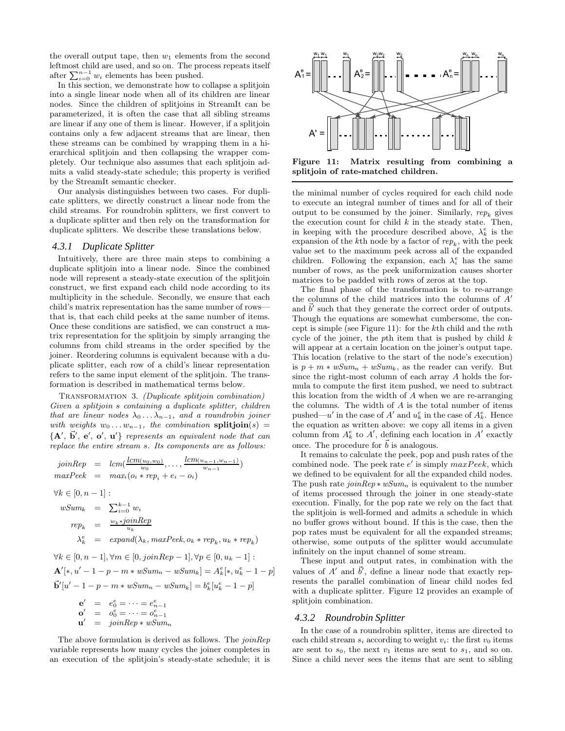the overall output tape, then  $w_1$  elements from the second leftmost child are used, and so on. The process repeats itself after  $\sum_{i=0}^{n-1} w_i$  elements has been pushed.

In this section, we demonstrate how to collapse a splitjoin into a single linear node when all of its children are linear nodes. Since the children of splitjoins in StreamIt can be parameterized, it is often the case that all sibling streams are linear if any one of them is linear. However, if a splitjoin contains only a few adjacent streams that are linear, then these streams can be combined by wrapping them in a hierarchical splitjoin and then collapsing the wrapper completely. Our technique also assumes that each splitjoin admits a valid steady-state schedule; this property is verified by the StreamIt semantic checker.

Our analysis distinguishes between two cases. For duplicate splitters, we directly construct a linear node from the child streams. For roundrobin splitters, we first convert to a duplicate splitter and then rely on the transformation for duplicate splitters. We describe these translations below.

#### *4.3.1 Duplicate Splitter*

Intuitively, there are three main steps to combining a duplicate splitjoin into a linear node. Since the combined node will represent a steady-state execution of the splitjoin construct, we first expand each child node according to its multiplicity in the schedule. Secondly, we ensure that each child's matrix representation has the same number of rows that is, that each child peeks at the same number of items. Once these conditions are satisfied, we can construct a matrix representation for the splitjoin by simply arranging the columns from child streams in the order specified by the joiner. Reordering columns is equivalent because with a duplicate splitter, each row of a child's linear representation refers to the same input element of the splitjoin. The transformation is described in mathematical terms below.

Transformation 3. (Duplicate splitjoin combination) Given a splitjoin s containing a duplicate splitter, children that are linear nodes  $\lambda_0 \ldots \lambda_{n-1}$ , and a roundrobin joiner with weights  $w_0 \ldots w_{n-1}$ , the combination splitjoin(s) =  ${A', \vec{b', e', o', u'}}$  represents an equivalent node that can replace the entire stream s. Its components are as follows:

$$
joinRep = lcm(\underbrace{lcm(u_0, w_0)}_{w_0}, \dots, \underbrace{lcm(u_{n-1}, w_{n-1})}_{w_{n-1}})
$$
\n
$$
maxPeek = max_i(o_i * rep_i + e_i - o_i)
$$
\n
$$
\forall k \in [0, n-1]:
$$
\n
$$
wSum_k = \sum_{i=0}^{k-1} w_i
$$
\n
$$
rep_k = \underbrace{w_k * joinRep}_{u_k}
$$
\n
$$
\lambda_k^e = expand(\lambda_k, maxPeek, o_k * rep_k, u_k * rep_k)
$$
\n
$$
\forall k \in [0, n-1], \forall m \in [0, joinRep - 1], \forall p \in [0, u_k - 1]:
$$
\n
$$
\mathbf{A}'[*, u' - 1 - p - m * wSum_n - wSum_k] = A_k^e[*, u_k^e - 1]
$$
\n
$$
\mathbf{b}'[u' - 1 - p - m * wSum_n - wSum_k] = b_k^e[u_k^e - 1 - p]
$$
\n
$$
\mathbf{a}' = e^e - \dots = e^e
$$

$$
\begin{array}{rcl}\n\mathbf{e}' & = & e_0^e = \dots = e_{n-1}^e \\
\mathbf{o}' & = & o_0^e = \dots = o_{n-1}^e \\
\mathbf{u}' & = & \text{join} \, \text{Rep} \, * \, \text{wSum}_n\n\end{array}
$$

The above formulation is derived as follows. The joinRep variable represents how many cycles the joiner completes in an execution of the splitjoin's steady-state schedule; it is



Figure 11: Matrix resulting from combining a splitjoin of rate-matched children.

the minimal number of cycles required for each child node to execute an integral number of times and for all of their output to be consumed by the joiner. Similarly,  $rep_k$  gives the execution count for child  $k$  in the steady state. Then, in keeping with the procedure described above,  $\lambda_k^e$  is the expansion of the  $k$ <sup>th</sup> node by a factor of  $rep_k$ , with the peek value set to the maximum peek across all of the expanded children. Following the expansion, each  $\lambda_i^e$  has the same number of rows, as the peek uniformization causes shorter matrices to be padded with rows of zeros at the top.

The final phase of the transformation is to re-arrange the columns of the child matrices into the columns of  $A'$ and  $\vec{b}'$  such that they generate the correct order of outputs. Though the equations are somewhat cumbersome, the concept is simple (see Figure 11): for the kth child and the mth cycle of the joiner, the pth item that is pushed by child  $k$ will appear at a certain location on the joiner's output tape. This location (relative to the start of the node's execution) is  $p + m * wSum_n + wSum_k$ , as the reader can verify. But since the right-most column of each array A holds the formula to compute the first item pushed, we need to subtract this location from the width of A when we are re-arranging the columns. The width of A is the total number of items pushed—u' in the case of  $A'$  and  $u_k^e$  in the case of  $A_k^e$ . Hence the equation as written above: we copy all items in a given column from  $A_k^e$  to  $A'$ , defining each location in  $A'$  exactly once. The procedure for  $\vec{b}$  is analogous.

It remains to calculate the peek, pop and push rates of the combined node. The peek rate  $e'$  is simply  $maxPeek$ , which we defined to be equivalent for all the expanded child nodes. The push rate  $\omega_i^2 \cdot \omega_j^2 = \omega_i^2 \cdot \omega_j^2$  is equivalent to the number of items processed through the joiner in one steady-state execution. Finally, for the pop rate we rely on the fact that the splitjoin is well-formed and admits a schedule in which no buffer grows without bound. If this is the case, then the pop rates must be equivalent for all the expanded streams; otherwise, some outputs of the splitter would accumulate infinitely on the input channel of some stream.

These input and output rates, in combination with the values of  $A'$  and  $\vec{b}'$ , define a linear node that exactly represents the parallel combination of linear child nodes fed with a duplicate splitter. Figure 12 provides an example of splitjoin combination.

#### *4.3.2 Roundrobin Splitter*

 $- p$ ]

In the case of a roundrobin splitter, items are directed to each child stream  $s_i$  according to weight  $v_i$ : the first  $v_0$  items are sent to  $s_0$ , the next  $v_1$  items are sent to  $s_1$ , and so on. Since a child never sees the items that are sent to sibling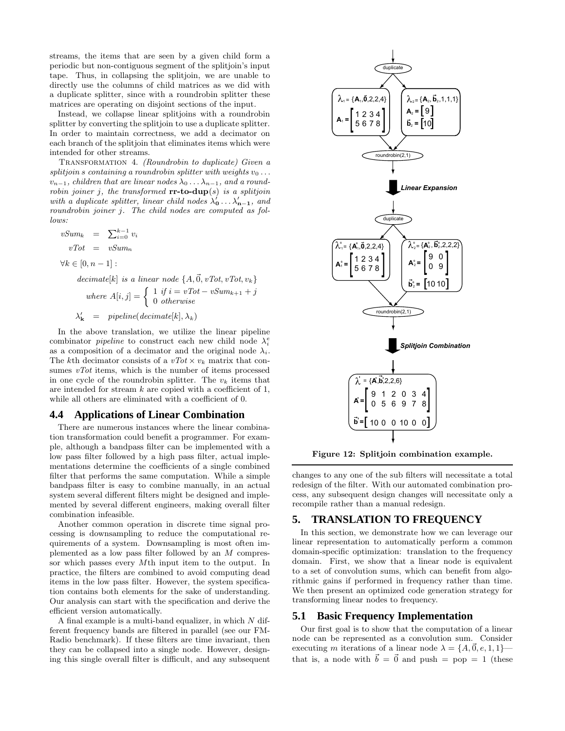streams, the items that are seen by a given child form a periodic but non-contiguous segment of the splitjoin's input tape. Thus, in collapsing the splitjoin, we are unable to directly use the columns of child matrices as we did with a duplicate splitter, since with a roundrobin splitter these matrices are operating on disjoint sections of the input.

Instead, we collapse linear splitjoins with a roundrobin splitter by converting the splitjoin to use a duplicate splitter. In order to maintain correctness, we add a decimator on each branch of the splitjoin that eliminates items which were intended for other streams.

TRANSFORMATION 4. (Roundrobin to duplicate) Given a splitjoin s containing a roundrobin splitter with weights  $v_0 \ldots$  $v_{n-1}$ , children that are linear nodes  $\lambda_0 \ldots \lambda_{n-1}$ , and a roundrobin joiner j, the transformed  $rr-to-dup(s)$  is a splitjoin with a duplicate splitter, linear child nodes  $\lambda'_0 \ldots \lambda'_{n-1}$ , and roundrobin joiner j. The child nodes are computed as follows:

$$
vSum_k = \sum_{i=0}^{k-1} v_i
$$
  
\n
$$
vTot = vSum_n
$$
  
\n
$$
\forall k \in [0, n-1]:
$$
  
\n
$$
decimate[k] \text{ is a linear node } \{A, \vec{0}, vTot, vTot, v_k\}
$$
  
\n
$$
where \ A[i, j] = \begin{cases} 1 & \text{if } i = vTot - vSum_{k+1} + j \\ 0 & \text{otherwise} \end{cases}
$$
  
\n
$$
\lambda'_k = pipeline(decimate[k], \lambda_k)
$$

In the above translation, we utilize the linear pipeline combinator *pipeline* to construct each new child node  $\lambda_i^e$ as a composition of a decimator and the original node  $\lambda_i$ . The kth decimator consists of a  $vTot \times v_k$  matrix that consumes  $vTot$  items, which is the number of items processed in one cycle of the roundrobin splitter. The  $v_k$  items that are intended for stream  $k$  are copied with a coefficient of 1, while all others are eliminated with a coefficient of 0.

#### **4.4 Applications of Linear Combination**

There are numerous instances where the linear combination transformation could benefit a programmer. For example, although a bandpass filter can be implemented with a low pass filter followed by a high pass filter, actual implementations determine the coefficients of a single combined filter that performs the same computation. While a simple bandpass filter is easy to combine manually, in an actual system several different filters might be designed and implemented by several different engineers, making overall filter combination infeasible.

Another common operation in discrete time signal processing is downsampling to reduce the computational requirements of a system. Downsampling is most often implemented as a low pass filter followed by an M compressor which passes every Mth input item to the output. In practice, the filters are combined to avoid computing dead items in the low pass filter. However, the system specification contains both elements for the sake of understanding. Our analysis can start with the specification and derive the efficient version automatically.

A final example is a multi-band equalizer, in which N different frequency bands are filtered in parallel (see our FM-Radio benchmark). If these filters are time invariant, then they can be collapsed into a single node. However, designing this single overall filter is difficult, and any subsequent



Figure 12: Splitjoin combination example.

changes to any one of the sub filters will necessitate a total redesign of the filter. With our automated combination process, any subsequent design changes will necessitate only a recompile rather than a manual redesign.

#### **5. TRANSLATION TO FREQUENCY**

In this section, we demonstrate how we can leverage our linear representation to automatically perform a common domain-specific optimization: translation to the frequency domain. First, we show that a linear node is equivalent to a set of convolution sums, which can benefit from algorithmic gains if performed in frequency rather than time. We then present an optimized code generation strategy for transforming linear nodes to frequency.

#### **5.1 Basic Frequency Implementation**

Our first goal is to show that the computation of a linear node can be represented as a convolution sum. Consider executing m iterations of a linear node  $\lambda = \{A, \vec{0}, e, 1, 1\}$  that is, a node with  $\vec{b} = \vec{0}$  and push = pop = 1 (these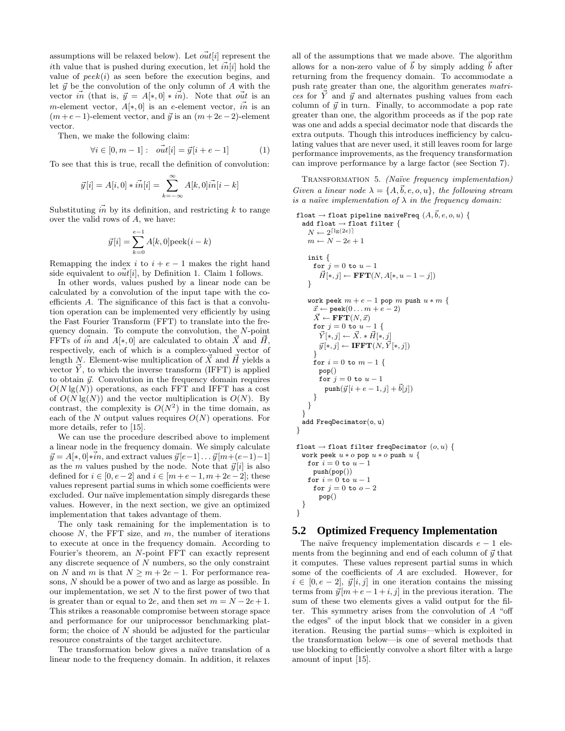assumptions will be relaxed below). Let  $\vec{out}[i]$  represent the ith value that is pushed during execution, let  $\tilde{m}[i]$  hold the value of  $peek(i)$  as seen before the execution begins, and let  $\vec{y}$  be the convolution of the only column of A with the vector  $\vec{m}$  (that is,  $\vec{y} = A[*, 0] * \vec{m}$ ). Note that  $\vec{out}$  is an m-element vector,  $A[*, 0]$  is an e-element vector,  $\vec{m}$  is an  $(m+e-1)$ -element vector, and  $\vec{y}$  is an  $(m+2e-2)$ -element vector.

Then, we make the following claim:

$$
\forall i \in [0, m-1]: \quad o\vec{u}t[i] = \vec{y}[i + e - 1] \tag{1}
$$

To see that this is true, recall the definition of convolution:

$$
\vec{y}[i] = A[i, 0] * \vec{in}[i] = \sum_{k=-\infty}^{\infty} A[k, 0] \vec{in}[i - k]
$$

Substituting  $\vec{i}$  by its definition, and restricting k to range over the valid rows of A, we have:

$$
\vec{y}[i] = \sum_{k=0}^{e-1} A[k, 0] \text{peek}(i - k)
$$

Remapping the index  $i$  to  $i + e - 1$  makes the right hand side equivalent to  $\vec{out}[i]$ , by Definition 1. Claim 1 follows.

In other words, values pushed by a linear node can be calculated by a convolution of the input tape with the coefficients A. The significance of this fact is that a convolution operation can be implemented very efficiently by using the Fast Fourier Transform (FFT) to translate into the frequency domain. To compute the convolution, the N-point FFTs of  $\vec{m}$  and  $A[*, 0]$  are calculated to obtain  $\vec{X}$  and  $\vec{H}$ , respectively, each of which is a complex-valued vector of length N. Element-wise multiplication of  $\vec{X}$  and  $\vec{H}$  yields a vector  $\vec{Y}$ , to which the inverse transform (IFFT) is applied to obtain  $\vec{y}$ . Convolution in the frequency domain requires  $O(N \lg(N))$  operations, as each FFT and IFFT has a cost of  $O(N \lg(N))$  and the vector multiplication is  $O(N)$ . By contrast, the complexity is  $O(N^2)$  in the time domain, as each of the N output values requires  $O(N)$  operations. For more details, refer to [15].

We can use the procedure described above to implement a linear node in the frequency domain. We simply calculate  $\vec{y} = A[*, 0]*\vec{i}n$ , and extract values  $\vec{y}[e-1] \dots \vec{y}[m+(e-1)-1]$ as the m values pushed by the node. Note that  $\vec{y}[i]$  is also defined for  $i \in [0, e-2]$  and  $i \in [m+e-1, m+2e-2]$ ; these values represent partial sums in which some coefficients were excluded. Our naïve implementation simply disregards these values. However, in the next section, we give an optimized implementation that takes advantage of them.

The only task remaining for the implementation is to choose  $N$ , the FFT size, and  $m$ , the number of iterations to execute at once in the frequency domain. According to Fourier's theorem, an N-point FFT can exactly represent any discrete sequence of N numbers, so the only constraint on N and m is that  $N \ge m + 2e - 1$ . For performance reasons, N should be a power of two and as large as possible. In our implementation, we set  $N$  to the first power of two that is greater than or equal to 2e, and then set  $m = N - 2e + 1$ . This strikes a reasonable compromise between storage space and performance for our uniprocessor benchmarking platform; the choice of  $N$  should be adjusted for the particular resource constraints of the target architecture.

The transformation below gives a naïve translation of a linear node to the frequency domain. In addition, it relaxes

all of the assumptions that we made above. The algorithm allows for a non-zero value of  $\vec{b}$  by simply adding  $\vec{b}$  after returning from the frequency domain. To accommodate a push rate greater than one, the algorithm generates matrices for  $\vec{Y}$  and  $\vec{y}$  and alternates pushing values from each column of  $\vec{y}$  in turn. Finally, to accommodate a pop rate greater than one, the algorithm proceeds as if the pop rate was one and adds a special decimator node that discards the extra outputs. Though this introduces inefficiency by calculating values that are never used, it still leaves room for large performance improvements, as the frequency transformation can improve performance by a large factor (see Section 7).

TRANSFORMATION 5. (Naïve frequency implementation) Given a linear node  $\lambda = \{A, \vec{b}, e, o, u\}$ , the following stream is a naïve implementation of  $\lambda$  in the frequency domain:

```
float \rightarrow float pipeline naiveFreq (A, \vec{b}, e, o, u) {
  add float \rightarrow float filter {
     N \leftarrow 2^{\lceil \lg(2e) \rceil}m \leftarrow N - 2e + 1init {
      for j = 0 to u - 1\vec{H}[*, j] \leftarrow \textbf{FFT}(N, A[*, u-1-j])}
    work peek m + e - 1 pop m push u * m {
      \vec{x} \leftarrow \text{peak}(0 \dots m + e - 2)\vec{X} \leftarrow \textbf{FFT}(N, \vec{x})for j = 0 to u - 1 {
         \vec{Y}[*, j] \leftarrow \vec{X}.* \vec{H}[*, j]\vec{y}[*, j] \leftarrow \textbf{IFFT}(N, \vec{Y}[*, j])}
      for i = 0 to m - 1 {
        pop()
        for j = 0 to u - 1push(\vec{y} | i + e - 1, j] + \vec{b}|j|)}
    }
  }
  add FreqDecimator(o, u)
}
float \rightarrow float filter freqDecimator (o, u) {
  work peek u * o pop u * o push u \nvertfor i = 0 to u - 1push(pop())
    for i = 0 to u - 1for j = 0 to o - 2pop()
  }
}
```
# **5.2 Optimized Frequency Implementation**

The naïve frequency implementation discards  $e - 1$  elements from the beginning and end of each column of  $\vec{y}$  that it computes. These values represent partial sums in which some of the coefficients of A are excluded. However, for  $i \in [0, e-2], \ \vec{y}[i, j]$  in one iteration contains the missing terms from  $\vec{y}[m + e - 1 + i, j]$  in the previous iteration. The sum of these two elements gives a valid output for the filter. This symmetry arises from the convolution of A "off the edges" of the input block that we consider in a given iteration. Reusing the partial sums—which is exploited in the transformation below—is one of several methods that use blocking to efficiently convolve a short filter with a large amount of input [15].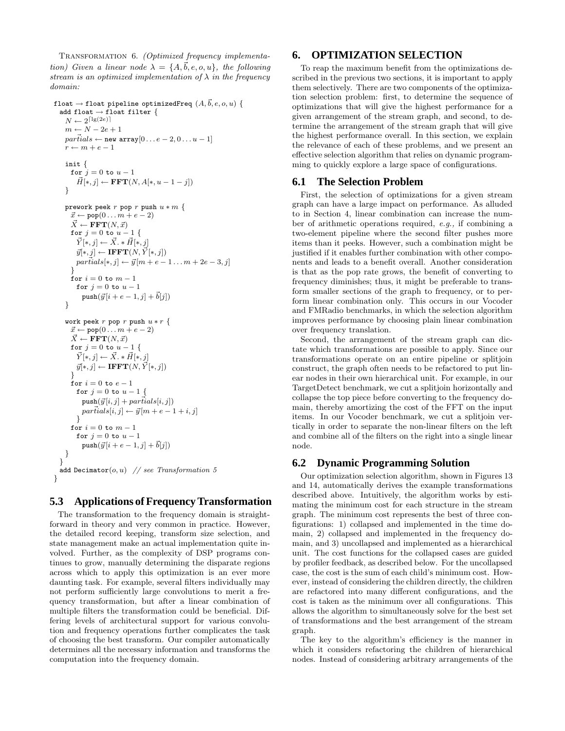TRANSFORMATION 6. (Optimized frequency implementation) Given a linear node  $\lambda = \{A, \vec{b}, e, o, u\}$ , the following stream is an optimized implementation of  $\lambda$  in the frequency domain:

```
float \rightarrow float pipeline optimizedFreq (A, \vec{b}, e, o, u) {
  add float \rightarrow float filter {
     N \leftarrow 2^{\lceil \lg(2e) \rceil}m \leftarrow N - 2e + 1parials \leftarrow new array[0 \dots e-2, 0 \dots u-1]r \leftarrow m + e - 1init {
      for j = 0 to u - 1\vec{H}[*, j] \leftarrow \textbf{FFT}(N, A[*, u-1-j])}
    prework peek r pop r push u * m {
      \vec{x} \leftarrow \text{pop}(0 \dots m + e - 2)\vec{X} \leftarrow \textbf{FFT}(N, \vec{x})for j = 0 to u - 1 {
         \vec{Y}[*, j] \leftarrow \vec{X}.* \vec{H}[*, j]\vec{y}[*, j] \leftarrow \textbf{IFFT}(N, \vec{Y}[*, j])partial s[*, j] \leftarrow \vec{y}[m + e - 1 \dots m + 2e - 3, j]}
      for i = 0 to m - 1for j = 0 to u - 1push(\vec{y}[i + e - 1, j] + \vec{b}[j])}
    work peek r pop r push u * r {
      \vec{x} \leftarrow \texttt{pop}(0 \dots m + e - 2)\vec{X} \leftarrow \textbf{FFT}(N, \vec{x})for j = 0 to u - 1 {
         \vec{Y}[*, j] \leftarrow \vec{X}.* \vec{H}[*, j]\vec{y}[*, j] \leftarrow \textbf{IFFT}(N, \vec{Y}[*, j])}
      for i = 0 to e - 1for j = 0 to u - 1 {
           push(\vec{y}[i, j] + partials[i, j])parilials[i, j] \leftarrow \vec{y}[m + e - 1 + i, j]}
      for i = 0 to m - 1for j = 0 to u - 1push(\vec{y} [i + e - 1, j] + \vec{b}[j])}
   }
  add Decimator(o, u) // see Transformation 5
}
```
# **5.3 Applications ofFrequencyTransformation**

The transformation to the frequency domain is straightforward in theory and very common in practice. However, the detailed record keeping, transform size selection, and state management make an actual implementation quite involved. Further, as the complexity of DSP programs continues to grow, manually determining the disparate regions across which to apply this optimization is an ever more daunting task. For example, several filters individually may not perform sufficiently large convolutions to merit a frequency transformation, but after a linear combination of multiple filters the transformation could be beneficial. Differing levels of architectural support for various convolution and frequency operations further complicates the task of choosing the best transform. Our compiler automatically determines all the necessary information and transforms the computation into the frequency domain.

# **6. OPTIMIZATION SELECTION**

To reap the maximum benefit from the optimizations described in the previous two sections, it is important to apply them selectively. There are two components of the optimization selection problem: first, to determine the sequence of optimizations that will give the highest performance for a given arrangement of the stream graph, and second, to determine the arrangement of the stream graph that will give the highest performance overall. In this section, we explain the relevance of each of these problems, and we present an effective selection algorithm that relies on dynamic programming to quickly explore a large space of configurations.

#### **6.1 The Selection Problem**

First, the selection of optimizations for a given stream graph can have a large impact on performance. As alluded to in Section 4, linear combination can increase the number of arithmetic operations required, e.g., if combining a two-element pipeline where the second filter pushes more items than it peeks. However, such a combination might be justified if it enables further combination with other components and leads to a benefit overall. Another consideration is that as the pop rate grows, the benefit of converting to frequency diminishes; thus, it might be preferable to transform smaller sections of the graph to frequency, or to perform linear combination only. This occurs in our Vocoder and FMRadio benchmarks, in which the selection algorithm improves performance by choosing plain linear combination over frequency translation.

Second, the arrangement of the stream graph can dictate which transformations are possible to apply. Since our transformations operate on an entire pipeline or splitjoin construct, the graph often needs to be refactored to put linear nodes in their own hierarchical unit. For example, in our TargetDetect benchmark, we cut a splitjoin horizontally and collapse the top piece before converting to the frequency domain, thereby amortizing the cost of the FFT on the input items. In our Vocoder benchmark, we cut a splitjoin vertically in order to separate the non-linear filters on the left and combine all of the filters on the right into a single linear node.

#### **6.2 Dynamic Programming Solution**

Our optimization selection algorithm, shown in Figures 13 and 14, automatically derives the example transformations described above. Intuitively, the algorithm works by estimating the minimum cost for each structure in the stream graph. The minimum cost represents the best of three configurations: 1) collapsed and implemented in the time domain, 2) collapsed and implemented in the frequency domain, and 3) uncollapsed and implemented as a hierarchical unit. The cost functions for the collapsed cases are guided by profiler feedback, as described below. For the uncollapsed case, the cost is the sum of each child's minimum cost. However, instead of considering the children directly, the children are refactored into many different configurations, and the cost is taken as the minimum over all configurations. This allows the algorithm to simultaneously solve for the best set of transformations and the best arrangement of the stream graph.

The key to the algorithm's efficiency is the manner in which it considers refactoring the children of hierarchical nodes. Instead of considering arbitrary arrangements of the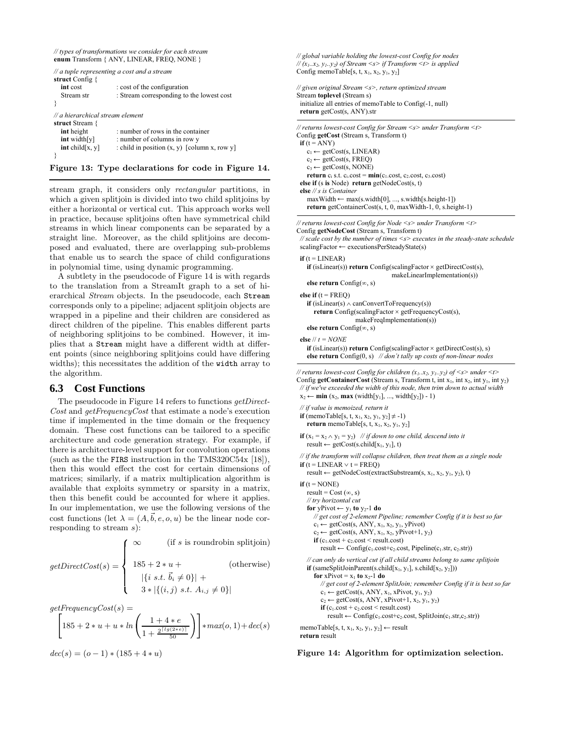```
// types of transformations we consider for each stream
enum Transform { ANY, LINEAR, FREQ, NONE }
```

```
// a tuple representing a cost and a stream
struct Config {
  int cost : cost of the configuration
  Stream str : Stream corresponding to the lowest cost
}
// a hierarchical stream element
struct Stream {
  int height : number of rows in the container<br>
int width[y] : number of columns in row y
                       : number of columns in row y
  int child[x, y] : child in position (x, y) [column x, row y]
}
```
Figure 13: Type declarations for code in Figure 14.

stream graph, it considers only rectangular partitions, in which a given splitjoin is divided into two child splitjoins by either a horizontal or vertical cut. This approach works well in practice, because splitjoins often have symmetrical child streams in which linear components can be separated by a straight line. Moreover, as the child splitjoins are decomposed and evaluated, there are overlapping sub-problems that enable us to search the space of child configurations in polynomial time, using dynamic programming.

A subtlety in the pseudocode of Figure 14 is with regards to the translation from a StreamIt graph to a set of hierarchical Stream objects. In the pseudocode, each Stream corresponds only to a pipeline; adjacent splitjoin objects are wrapped in a pipeline and their children are considered as direct children of the pipeline. This enables different parts of neighboring splitjoins to be combined. However, it implies that a Stream might have a different width at different points (since neighboring splitjoins could have differing widths); this necessitates the addition of the width array to the algorithm.

# **6.3 Cost Functions**

The pseudocode in Figure 14 refers to functions getDirect-Cost and getFrequencyCost that estimate a node's execution time if implemented in the time domain or the frequency domain. These cost functions can be tailored to a specific architecture and code generation strategy. For example, if there is architecture-level support for convolution operations (such as the the FIRS instruction in the TMS320C54x [18]), then this would effect the cost for certain dimensions of matrices; similarly, if a matrix multiplication algorithm is available that exploits symmetry or sparsity in a matrix, then this benefit could be accounted for where it applies. In our implementation, we use the following versions of the cost functions (let  $\lambda = (A, \vec{b}, e, o, u)$  be the linear node corresponding to stream  $s$ ):

$$
getDirectCost(s) = \begin{cases} \infty & (\text{if } s \text{ is roundrobin splitjoin}) \\ 185 + 2 * u + & (\text{otherwise}) \\ |\{i \ s.t. \ \vec{b}_i \neq 0\}| + \\ 3 * |\{(i, j) \ s.t. \ A_{i,j} \neq 0\}| \end{cases}
$$

 $getFrequencyCost(s) =$ 

$$
\[185 + 2*u + u * ln\left(\frac{1+4*e}{1+\frac{2^{\lceil \log(2*e) \rceil}}{50}}\right)\] * max(o, 1) + dec(s)
$$

 $dec(s) = (o-1) * (185 + 4 * u)$ 

// global variable holding the lowest-cost Config for nodes //  $(x_1, x_2, y_1, y_2)$  of Stream <s> if Transform <t> is applied Config memoTable[s, t,  $x_1$ ,  $x_2$ ,  $y_1$ ,  $y_2$ ]

```
// given original Stream <s>, return optimized stream
Stream toplevel (Stream s)
initialize all entries of memoTable to Config(-1, null)
return getCost(s, ANY).str
```
// returns lowest-cost Config for Stream <s> under Transform <t> Config getCost (Stream s, Transform t) if  $(t = ANY)$  $c_1 \leftarrow \text{getCost}(s, LINEAR)$  $c_2 \leftarrow getCost(s, FRED)$  $c_3 \leftarrow getCost(s, NONE)$ return  $c_i$  s.t.  $c_i$ .cost =  $min(c_1$ .cost,  $c_2$ .cost,  $c_3$ .cost) else if (s is Node) return getNodeCost(s, t) else // s is Container  $maxWidth \leftarrow max(s$ **width[0], ..., s.width[s.height-1]** $)$ return getContainerCost(s, t, 0, maxWidth-1, 0, s.height-1) // returns lowest-cost Config for Node <s> under Transform <t> Config getNodeCost (Stream s, Transform t)

// scale cost by the number of times <s> executes in the steady-state schedule  $scalingFactor \leftarrow executionsPerSteadyState(s)$ 

```
if (t = LINEAR)if (isLinear(s)) return Config(scalingFactor \times getDirectCost(s),
                                 makeLinearImplementation(s))
```

```
else return Config(\infty, s)
```

```
else if (t = FRED)if (isLinear(s) \land canConvertToFrequency(s))
    return Config(scalingFactor \times getFrequencyCost(s),
                   makeFreqImplementation(s))
```
else return  $Config(\infty, s)$ 

```
else \frac{1}{t} = NONEif (isLinear(s)) return Config(scalingFactor \times getDirectCost(s), s)
  else return Config(0, s) // don't tally up costs of non-linear nodes
```
// returns lowest-cost Config for children  $(x_1..x_2, y_1..y_2)$  of  $\leq s$  under  $\leq t$ Config getContainerCost (Stream s, Transform t, int  $x_1$ , int  $x_2$ , int  $y_1$ , int  $y_2$ ) // if we've exceeded the width of this node, then trim down to actual width  $x_2 \leftarrow min(x_2, max(width[y_1], ..., width[y_2]) - 1)$ 

```
// if value is memoized, return it
if (memoTable[s, t, x_1, x_2, y_1, y_2] \neq -1)
  return memoTable[s, t, x_1, x_2, y_1, y_2]
```

```
if (x_1 = x_2 \wedge y_1 = y_2) // if down to one child, descend into it
   result \leftarrow getCost(s.child[x_1, y_1], t)
```

```
// if the transform will collapse children, then treat them as a single node
if (t = LINEAR \vee t = FREO)
```

```
result \leftarrow getNodeCost(extractSubstream(s, x<sub>1</sub>, x<sub>2</sub>, y<sub>1</sub>, y<sub>2</sub>), t)
```

```
if (t = \text{NONE})result = Cost (\infty, s)// try horizontal cut
   for yPivot \leftarrow y<sub>1</sub> to y<sub>2</sub>-1 do
      // get cost of 2-element Pipeline; remember Config if it is best so far
      c_1 \leftarrow getCost(s, ANY, x_1, x_2, y_1, yPivot)c_2 \leftarrow getCost(s, ANY, x_1, x_2, yPivot+1, y_2)if (c_1.\text{cost} + c_2.\text{cost} < \text{result}.\text{cost})result \leftarrow Config(c_1.cost+c_2.cost, Pipeline(c_1.str, c_2.str))// can only do vertical cut if all child streams belong to same splitjoin
   \textbf{if} (sameSplitJoinParent(s.child[x<sub>1</sub>, y<sub>1</sub>], s.child[x<sub>2</sub>, y<sub>2</sub>]))
      for xPivot = x_1 to x_2-1 do
          // get cost of 2-element SplitJoin; remember Config if it is best so far
          c_1 \leftarrow getCost(s, ANY, x_1, xPivot, y_1, y_2)
```
 $c_2 \leftarrow \text{getCost}(s, \text{ANY}, x\text{Pivot}+1, x_2, y_1, y_2)$ if  $(c_1.\text{cost} + c_2.\text{cost} <$  result.cost)

 $result \leftarrow Config(c_1.cost+c_2.cost, SplitJoin(c_1.str,c_2.str))$ 

memoTable[s, t,  $x_1$ ,  $x_2$ ,  $y_1$ ,  $y_2$ ]  $\leftarrow$  result return result

Figure 14: Algorithm for optimization selection.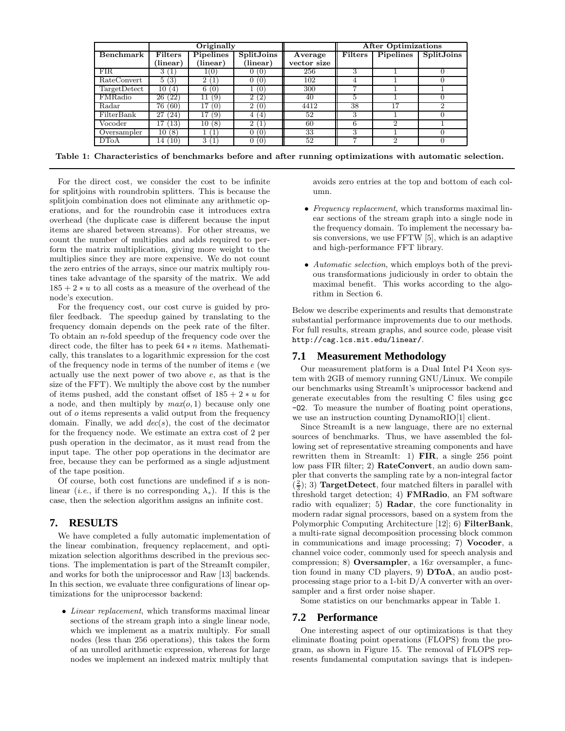|                  |                                | Originally       |                      |             | <b>After Optimizations</b> |                  |                             |  |
|------------------|--------------------------------|------------------|----------------------|-------------|----------------------------|------------------|-----------------------------|--|
| <b>Benchmark</b> | <b>Filters</b>                 | <b>Pipelines</b> | <b>SplitJoins</b>    | Average     | Filters                    | <b>Pipelines</b> | <b>SplitJoins</b>           |  |
|                  | 'linear)                       | (linear)         | (linear)             | vector size |                            |                  |                             |  |
| FIR.             | 1<br>3                         | 1(0)             | (O)                  | 256         | 3                          |                  |                             |  |
| RateConvert      | 5(3)                           | (1)<br>2         | 0)                   | 102         | 4                          |                  |                             |  |
| Target Detect    | 10<br>(4)                      | (0)<br>6         | 'O                   | 300         |                            |                  |                             |  |
| FMRadio          | $^{\prime}2\overline{2}$<br>26 | (9)              | $^{(2)}$<br>ີ        | 40          | 5                          |                  |                             |  |
| Radar            | (60)<br>76                     | 17<br>(0)        | $\overline{2}$<br>0) | 4412        | 38                         | 17               | $\mathcal{D}_{\mathcal{L}}$ |  |
| FilterBank       | (24)<br>27                     | 17<br>(9)        | $^{\prime}$ 4<br>4   | 52          | 3                          |                  |                             |  |
| Vocoder          | (13)<br>7                      | (8)<br>10        | $\overline{2}$<br>1  | 60          | 6                          | 2                |                             |  |
| Oversampler      | (8)<br>10                      | (1)              | (0)                  | 33          | 3                          |                  |                             |  |
| DToA             | (10)<br>l4 i                   | (1)<br>3         | (0)                  | 52          |                            | $\mathcal{D}$    | $\Omega$                    |  |

Table 1: Characteristics of benchmarks before and after running optimizations with automatic selection.

For the direct cost, we consider the cost to be infinite for splitjoins with roundrobin splitters. This is because the splitjoin combination does not eliminate any arithmetic operations, and for the roundrobin case it introduces extra overhead (the duplicate case is different because the input items are shared between streams). For other streams, we count the number of multiplies and adds required to perform the matrix multiplication, giving more weight to the multiplies since they are more expensive. We do not count the zero entries of the arrays, since our matrix multiply routines take advantage of the sparsity of the matrix. We add  $185 + 2 * u$  to all costs as a measure of the overhead of the node's execution.

For the frequency cost, our cost curve is guided by profiler feedback. The speedup gained by translating to the frequency domain depends on the peek rate of the filter. To obtain an  $n$ -fold speedup of the frequency code over the direct code, the filter has to peek  $64 * n$  items. Mathematically, this translates to a logarithmic expression for the cost of the frequency node in terms of the number of items e (we actually use the next power of two above e, as that is the size of the FFT). We multiply the above cost by the number of items pushed, add the constant offset of  $185 + 2 * u$  for a node, and then multiply by  $max(o, 1)$  because only one out of o items represents a valid output from the frequency domain. Finally, we add  $dec(s)$ , the cost of the decimator for the frequency node. We estimate an extra cost of 2 per push operation in the decimator, as it must read from the input tape. The other pop operations in the decimator are free, because they can be performed as a single adjustment of the tape position.

Of course, both cost functions are undefined if  $s$  is nonlinear (*i.e.*, if there is no corresponding  $\lambda_s$ ). If this is the case, then the selection algorithm assigns an infinite cost.

# **7. RESULTS**

We have completed a fully automatic implementation of the linear combination, frequency replacement, and optimization selection algorithms described in the previous sections. The implementation is part of the StreamIt compiler, and works for both the uniprocessor and Raw [13] backends. In this section, we evaluate three configurations of linear optimizations for the uniprocessor backend:

• Linear replacement, which transforms maximal linear sections of the stream graph into a single linear node, which we implement as a matrix multiply. For small nodes (less than 256 operations), this takes the form of an unrolled arithmetic expression, whereas for large nodes we implement an indexed matrix multiply that

avoids zero entries at the top and bottom of each column.

- Frequency replacement, which transforms maximal linear sections of the stream graph into a single node in the frequency domain. To implement the necessary basis conversions, we use FFTW [5], which is an adaptive and high-performance FFT library.
- Automatic selection, which employs both of the previous transformations judiciously in order to obtain the maximal benefit. This works according to the algorithm in Section 6.

Below we describe experiments and results that demonstrate substantial performance improvements due to our methods. For full results, stream graphs, and source code, please visit http://cag.lcs.mit.edu/linear/.

# **7.1 Measurement Methodology**

Our measurement platform is a Dual Intel P4 Xeon system with 2GB of memory running GNU/Linux. We compile our benchmarks using StreamIt's uniprocessor backend and generate executables from the resulting C files using gcc -O2. To measure the number of floating point operations, we use an instruction counting DynamoRIO[1] client.

Since StreamIt is a new language, there are no external sources of benchmarks. Thus, we have assembled the following set of representative streaming components and have rewritten them in StreamIt: 1) FIR, a single 256 point low pass FIR filter; 2) RateConvert, an audio down sampler that converts the sampling rate by a non-integral factor  $(\frac{2}{3})$ ; 3) **TargetDetect**, four matched filters in parallel with  $\frac{3}{3}$ ,  $\frac{3}{5}$  and  $\frac{3}{5}$  and  $\frac{3}{5}$  and  $\frac{3}{5}$  matched inters in parameters with threshold target detection; 4) **FMRadio**, an FM software radio with equalizer; 5) Radar, the core functionality in modern radar signal processors, based on a system from the Polymorphic Computing Architecture [12]; 6) FilterBank, a multi-rate signal decomposition processing block common in communications and image processing; 7) Vocoder, a channel voice coder, commonly used for speech analysis and compression; 8) Oversampler, a  $16x$  oversampler, a function found in many CD players, 9) DToA, an audio postprocessing stage prior to a 1-bit D/A converter with an oversampler and a first order noise shaper.

Some statistics on our benchmarks appear in Table 1.

#### **7.2 Performance**

One interesting aspect of our optimizations is that they eliminate floating point operations (FLOPS) from the program, as shown in Figure 15. The removal of FLOPS represents fundamental computation savings that is indepen-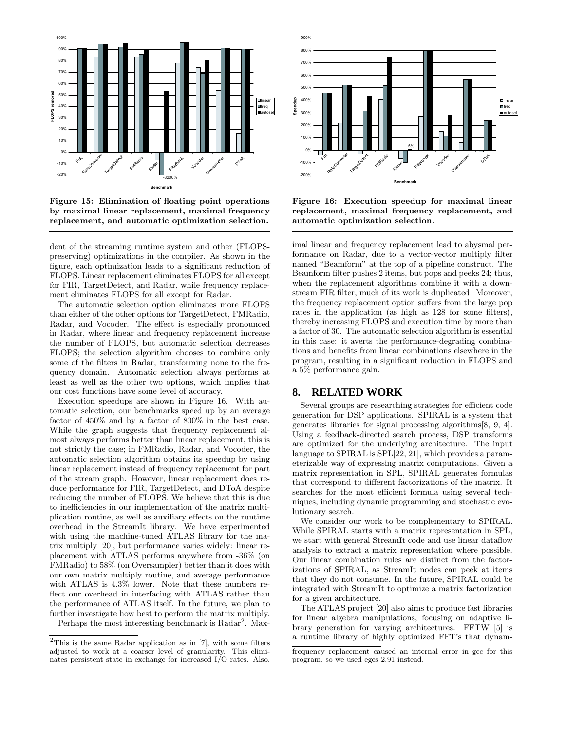

Figure 15: Elimination of floating point operations by maximal linear replacement, maximal frequency replacement, and automatic optimization selection.

dent of the streaming runtime system and other (FLOPSpreserving) optimizations in the compiler. As shown in the figure, each optimization leads to a significant reduction of FLOPS. Linear replacement eliminates FLOPS for all except for FIR, TargetDetect, and Radar, while frequency replacement eliminates FLOPS for all except for Radar.

The automatic selection option eliminates more FLOPS than either of the other options for TargetDetect, FMRadio, Radar, and Vocoder. The effect is especially pronounced in Radar, where linear and frequency replacement increase the number of FLOPS, but automatic selection decreases FLOPS; the selection algorithm chooses to combine only some of the filters in Radar, transforming none to the frequency domain. Automatic selection always performs at least as well as the other two options, which implies that our cost functions have some level of accuracy.

Execution speedups are shown in Figure 16. With automatic selection, our benchmarks speed up by an average factor of 450% and by a factor of 800% in the best case. While the graph suggests that frequency replacement almost always performs better than linear replacement, this is not strictly the case; in FMRadio, Radar, and Vocoder, the automatic selection algorithm obtains its speedup by using linear replacement instead of frequency replacement for part of the stream graph. However, linear replacement does reduce performance for FIR, TargetDetect, and DToA despite reducing the number of FLOPS. We believe that this is due to inefficiencies in our implementation of the matrix multiplication routine, as well as auxiliary effects on the runtime overhead in the StreamIt library. We have experimented with using the machine-tuned ATLAS library for the matrix multiply [20], but performance varies widely: linear replacement with ATLAS performs anywhere from -36% (on FMRadio) to 58% (on Oversampler) better than it does with our own matrix multiply routine, and average performance with ATLAS is 4.3% lower. Note that these numbers reflect our overhead in interfacing with ATLAS rather than the performance of ATLAS itself. In the future, we plan to further investigate how best to perform the matrix multiply.

Perhaps the most interesting benchmark is Radar<sup>2</sup>. Max-



Figure 16: Execution speedup for maximal linear replacement, maximal frequency replacement, and automatic optimization selection.

imal linear and frequency replacement lead to abysmal performance on Radar, due to a vector-vector multiply filter named "Beamform" at the top of a pipeline construct. The Beamform filter pushes 2 items, but pops and peeks 24; thus, when the replacement algorithms combine it with a downstream FIR filter, much of its work is duplicated. Moreover, the frequency replacement option suffers from the large pop rates in the application (as high as 128 for some filters), thereby increasing FLOPS and execution time by more than a factor of 30. The automatic selection algorithm is essential in this case: it averts the performance-degrading combinations and benefits from linear combinations elsewhere in the program, resulting in a significant reduction in FLOPS and a 5% performance gain.

#### **8. RELATED WORK**

Several groups are researching strategies for efficient code generation for DSP applications. SPIRAL is a system that generates libraries for signal processing algorithms[8, 9, 4]. Using a feedback-directed search process, DSP transforms are optimized for the underlying architecture. The input language to SPIRAL is SPL[22, 21], which provides a parameterizable way of expressing matrix computations. Given a matrix representation in SPL, SPIRAL generates formulas that correspond to different factorizations of the matrix. It searches for the most efficient formula using several techniques, including dynamic programming and stochastic evolutionary search.

We consider our work to be complementary to SPIRAL. While SPIRAL starts with a matrix representation in SPL, we start with general StreamIt code and use linear dataflow analysis to extract a matrix representation where possible. Our linear combination rules are distinct from the factorizations of SPIRAL, as StreamIt nodes can peek at items that they do not consume. In the future, SPIRAL could be integrated with StreamIt to optimize a matrix factorization for a given architecture.

The ATLAS project [20] also aims to produce fast libraries for linear algebra manipulations, focusing on adaptive library generation for varying architectures. FFTW [5] is a runtime library of highly optimized FFT's that dynam-

 $2$ This is the same Radar application as in [7], with some filters adjusted to work at a coarser level of granularity. This eliminates persistent state in exchange for increased I/O rates. Also,

frequency replacement caused an internal error in gcc for this program, so we used egcs 2.91 instead.